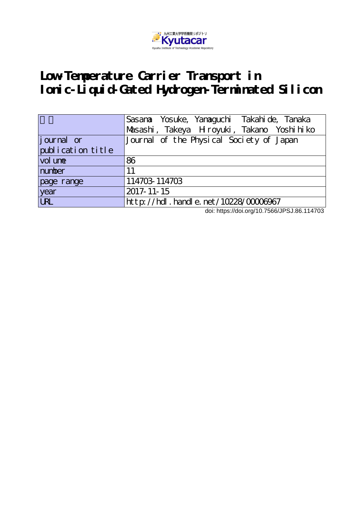

# **Low-Temperature Carrier Transport in Ionic-Liquid-Gated Hydrogen-Terminated Silicon**

|                   | Sasana Yosuke, Yanaguchi Takahi de, Tanaka |
|-------------------|--------------------------------------------|
|                   | Masashi, Takeya Hroyuki, Takano Yoshihiko  |
| journal or        | Journal of the Physical Society of Japan   |
| publication title |                                            |
| vol une           | 86                                         |
| number            | 11                                         |
| page range        | 114703 114703                              |
| year              | 2017-11-15                                 |
| <b>URL</b>        | $http://hdl. handle. net/10228/00006967$   |

doi: https://doi.org/10.7566/JPSJ.86.114703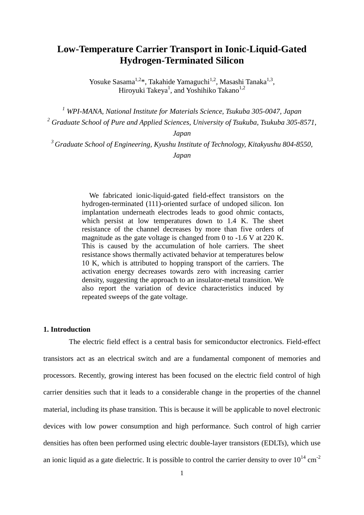# **Low-Temperature Carrier Transport in Ionic-Liquid-Gated Hydrogen-Terminated Silicon**

Yosuke Sasama<sup>1,2\*</sup>, Takahide Yamaguchi<sup>1,2</sup>, Masashi Tanaka<sup>1,3</sup>, Hiroyuki Takeya<sup>1</sup>, and Yoshihiko Takano<sup>1,2</sup>

*<sup>1</sup> WPI-MANA, National Institute for Materials Science, Tsukuba 305-0047, Japan <sup>2</sup> Graduate School of Pure and Applied Sciences, University of Tsukuba, Tsukuba 305-8571,* 

*Japan*

*<sup>3</sup>Graduate School of Engineering, Kyushu Institute of Technology, Kitakyushu 804-8550, Japan*

> We fabricated ionic-liquid-gated field-effect transistors on the hydrogen-terminated (111)-oriented surface of undoped silicon. Ion implantation underneath electrodes leads to good ohmic contacts, which persist at low temperatures down to 1.4 K. The sheet resistance of the channel decreases by more than five orders of magnitude as the gate voltage is changed from 0 to -1.6 V at 220 K. This is caused by the accumulation of hole carriers. The sheet resistance shows thermally activated behavior at temperatures below 10 K, which is attributed to hopping transport of the carriers. The activation energy decreases towards zero with increasing carrier density, suggesting the approach to an insulator-metal transition. We also report the variation of device characteristics induced by repeated sweeps of the gate voltage.

#### **1. Introduction**

The electric field effect is a central basis for semiconductor electronics. Field-effect transistors act as an electrical switch and are a fundamental component of memories and processors. Recently, growing interest has been focused on the electric field control of high carrier densities such that it leads to a considerable change in the properties of the channel material, including its phase transition. This is because it will be applicable to novel electronic devices with low power consumption and high performance. Such control of high carrier densities has often been performed using electric double-layer transistors (EDLTs), which use an ionic liquid as a gate dielectric. It is possible to control the carrier density to over  $10^{14}$  cm<sup>-2</sup>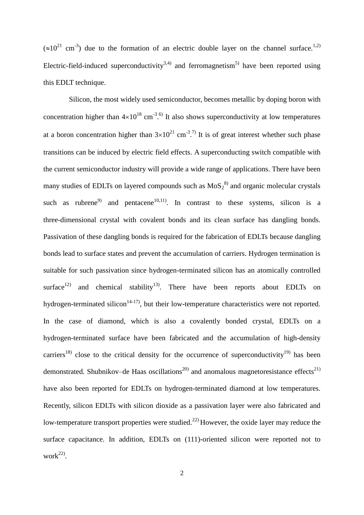$(\approx 10^{21} \text{ cm}^{-3})$  due to the formation of an electric double layer on the channel surface.<sup>1,2)</sup> Electric-field-induced superconductivity<sup>3,4)</sup> and ferromagnetism<sup>5)</sup> have been reported using this EDLT technique.

Silicon, the most widely used semiconductor, becomes metallic by doping boron with concentration higher than  $4\times10^{18}$  cm<sup>-3 6</sup>. It also shows superconductivity at low temperatures at a boron concentration higher than  $3\times10^{21}$  cm<sup>-3</sup>.<sup>7)</sup> It is of great interest whether such phase transitions can be induced by electric field effects. A superconducting switch compatible with the current semiconductor industry will provide a wide range of applications. There have been many studies of EDLTs on layered compounds such as  $M_0S_2^{8}$  and organic molecular crystals such as rubrene<sup>9</sup> and pentacene<sup>10,11</sup>. In contrast to these systems, silicon is a three-dimensional crystal with covalent bonds and its clean surface has dangling bonds. Passivation of these dangling bonds is required for the fabrication of EDLTs because dangling bonds lead to surface states and prevent the accumulation of carriers. Hydrogen termination is suitable for such passivation since hydrogen-terminated silicon has an atomically controlled surface<sup>12)</sup> and chemical stability<sup>13</sup>. There have been reports about EDLTs on hydrogen-terminated silicon<sup>14-17</sup>, but their low-temperature characteristics were not reported. In the case of diamond, which is also a covalently bonded crystal, EDLTs on a hydrogen-terminated surface have been fabricated and the accumulation of high-density carriers<sup>18)</sup> close to the critical density for the occurrence of superconductivity<sup>19)</sup> has been demonstrated. Shubnikov–de Haas oscillations<sup>20)</sup> and anomalous magnetoresistance effects<sup>21)</sup> have also been reported for EDLTs on hydrogen-terminated diamond at low temperatures. Recently, silicon EDLTs with silicon dioxide as a passivation layer were also fabricated and low-temperature transport properties were studied.<sup>22)</sup> However, the oxide layer may reduce the surface capacitance. In addition, EDLTs on (111)-oriented silicon were reported not to  $work<sup>22</sup>$ .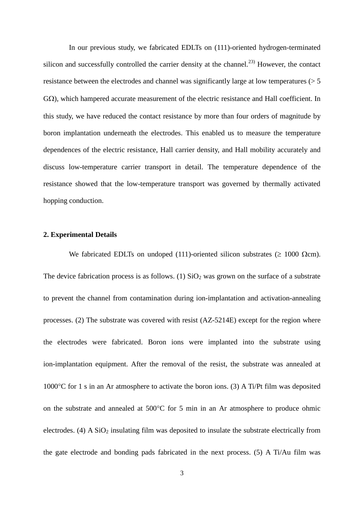In our previous study, we fabricated EDLTs on (111)-oriented hydrogen-terminated silicon and successfully controlled the carrier density at the channel.<sup>23)</sup> However, the contact resistance between the electrodes and channel was significantly large at low temperatures (> 5  $G\Omega$ ), which hampered accurate measurement of the electric resistance and Hall coefficient. In this study, we have reduced the contact resistance by more than four orders of magnitude by boron implantation underneath the electrodes. This enabled us to measure the temperature dependences of the electric resistance, Hall carrier density, and Hall mobility accurately and discuss low-temperature carrier transport in detail. The temperature dependence of the resistance showed that the low-temperature transport was governed by thermally activated hopping conduction.

#### **2. Experimental Details**

We fabricated EDLTs on undoped (111)-oriented silicon substrates ( $\geq 1000 \Omega$ cm). The device fabrication process is as follows. (1)  $SiO<sub>2</sub>$  was grown on the surface of a substrate to prevent the channel from contamination during ion-implantation and activation-annealing processes. (2) The substrate was covered with resist (AZ-5214E) except for the region where the electrodes were fabricated. Boron ions were implanted into the substrate using ion-implantation equipment. After the removal of the resist, the substrate was annealed at 1000 $\degree$ C for 1 s in an Ar atmosphere to activate the boron ions. (3) A Ti/Pt film was deposited on the substrate and annealed at  $500^{\circ}$ C for 5 min in an Ar atmosphere to produce ohmic electrodes. (4) A  $SiO<sub>2</sub>$  insulating film was deposited to insulate the substrate electrically from the gate electrode and bonding pads fabricated in the next process. (5) A Ti/Au film was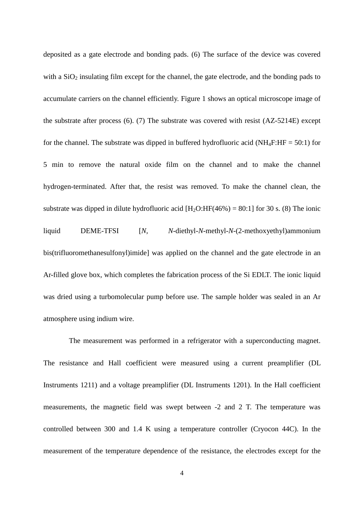deposited as a gate electrode and bonding pads. (6) The surface of the device was covered with a  $SiO<sub>2</sub>$  insulating film except for the channel, the gate electrode, and the bonding pads to accumulate carriers on the channel efficiently. Figure 1 shows an optical microscope image of the substrate after process (6). (7) The substrate was covered with resist (AZ-5214E) except for the channel. The substrate was dipped in buffered hydrofluoric acid ( $NH_4F:HF = 50:1$ ) for 5 min to remove the natural oxide film on the channel and to make the channel hydrogen-terminated. After that, the resist was removed. To make the channel clean, the substrate was dipped in dilute hydrofluoric acid  $[H_2O:HF(46%) = 80:1]$  for 30 s. (8) The ionic liquid DEME-TFSI [*N*, *N*-diethyl-*N*-methyl-*N*-(2-methoxyethyl)ammonium bis(trifluoromethanesulfonyl)imide] was applied on the channel and the gate electrode in an Ar-filled glove box, which completes the fabrication process of the Si EDLT. The ionic liquid was dried using a turbomolecular pump before use. The sample holder was sealed in an Ar atmosphere using indium wire.

The measurement was performed in a refrigerator with a superconducting magnet. The resistance and Hall coefficient were measured using a current preamplifier (DL Instruments 1211) and a voltage preamplifier (DL Instruments 1201). In the Hall coefficient measurements, the magnetic field was swept between -2 and 2 T. The temperature was controlled between 300 and 1.4 K using a temperature controller (Cryocon 44C). In the measurement of the temperature dependence of the resistance, the electrodes except for the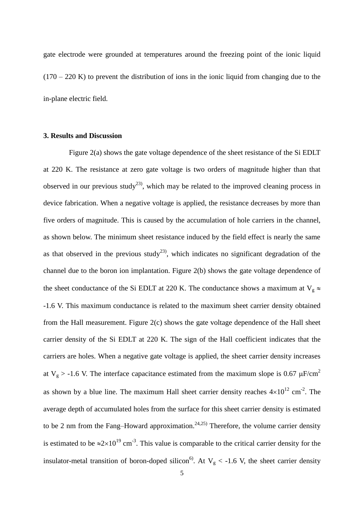gate electrode were grounded at temperatures around the freezing point of the ionic liquid  $(170 - 220 \text{ K})$  to prevent the distribution of ions in the ionic liquid from changing due to the in-plane electric field.

#### **3. Results and Discussion**

Figure 2(a) shows the gate voltage dependence of the sheet resistance of the Si EDLT at 220 K. The resistance at zero gate voltage is two orders of magnitude higher than that observed in our previous study<sup>23</sup>, which may be related to the improved cleaning process in device fabrication. When a negative voltage is applied, the resistance decreases by more than five orders of magnitude. This is caused by the accumulation of hole carriers in the channel, as shown below. The minimum sheet resistance induced by the field effect is nearly the same as that observed in the previous study<sup>23</sup>, which indicates no significant degradation of the channel due to the boron ion implantation. Figure 2(b) shows the gate voltage dependence of the sheet conductance of the Si EDLT at 220 K. The conductance shows a maximum at  $V_g \approx$ -1.6 V. This maximum conductance is related to the maximum sheet carrier density obtained from the Hall measurement. Figure 2(c) shows the gate voltage dependence of the Hall sheet carrier density of the Si EDLT at 220 K. The sign of the Hall coefficient indicates that the carriers are holes. When a negative gate voltage is applied, the sheet carrier density increases at  $V_g$  > -1.6 V. The interface capacitance estimated from the maximum slope is 0.67  $\mu$ F/cm<sup>2</sup> as shown by a blue line. The maximum Hall sheet carrier density reaches  $4\times10^{12}$  cm<sup>-2</sup>. The average depth of accumulated holes from the surface for this sheet carrier density is estimated to be 2 nm from the Fang–Howard approximation.<sup>24,25)</sup> Therefore, the volume carrier density is estimated to be  $\approx 2 \times 10^{19}$  cm<sup>-3</sup>. This value is comparable to the critical carrier density for the insulator-metal transition of boron-doped silicon<sup>6</sup>. At  $V_g < -1.6$  V, the sheet carrier density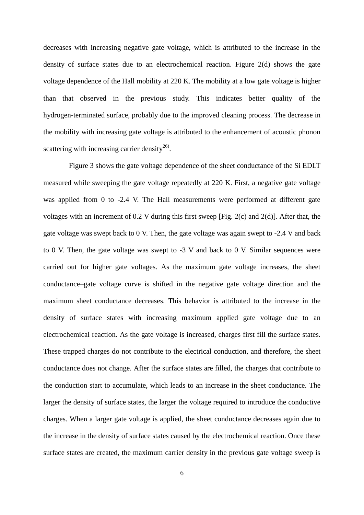decreases with increasing negative gate voltage, which is attributed to the increase in the density of surface states due to an electrochemical reaction. Figure 2(d) shows the gate voltage dependence of the Hall mobility at 220 K. The mobility at a low gate voltage is higher than that observed in the previous study. This indicates better quality of the hydrogen-terminated surface, probably due to the improved cleaning process. The decrease in the mobility with increasing gate voltage is attributed to the enhancement of acoustic phonon scattering with increasing carrier density $^{26}$ .

Figure 3 shows the gate voltage dependence of the sheet conductance of the Si EDLT measured while sweeping the gate voltage repeatedly at 220 K. First, a negative gate voltage was applied from 0 to -2.4 V. The Hall measurements were performed at different gate voltages with an increment of 0.2 V during this first sweep [Fig. 2(c) and 2(d)]. After that, the gate voltage was swept back to 0 V. Then, the gate voltage was again swept to -2.4 V and back to 0 V. Then, the gate voltage was swept to -3 V and back to 0 V. Similar sequences were carried out for higher gate voltages. As the maximum gate voltage increases, the sheet conductance–gate voltage curve is shifted in the negative gate voltage direction and the maximum sheet conductance decreases. This behavior is attributed to the increase in the density of surface states with increasing maximum applied gate voltage due to an electrochemical reaction. As the gate voltage is increased, charges first fill the surface states. These trapped charges do not contribute to the electrical conduction, and therefore, the sheet conductance does not change. After the surface states are filled, the charges that contribute to the conduction start to accumulate, which leads to an increase in the sheet conductance. The larger the density of surface states, the larger the voltage required to introduce the conductive charges. When a larger gate voltage is applied, the sheet conductance decreases again due to the increase in the density of surface states caused by the electrochemical reaction. Once these surface states are created, the maximum carrier density in the previous gate voltage sweep is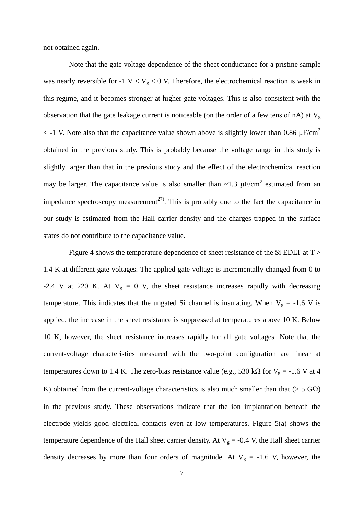not obtained again.

Note that the gate voltage dependence of the sheet conductance for a pristine sample was nearly reversible for -1  $V < V<sub>g</sub> < 0$  V. Therefore, the electrochemical reaction is weak in this regime, and it becomes stronger at higher gate voltages. This is also consistent with the observation that the gate leakage current is noticeable (on the order of a few tens of nA) at  $V<sub>g</sub>$  $\epsilon$  -1 V. Note also that the capacitance value shown above is slightly lower than 0.86  $\mu$ F/cm<sup>2</sup> obtained in the previous study. This is probably because the voltage range in this study is slightly larger than that in the previous study and the effect of the electrochemical reaction may be larger. The capacitance value is also smaller than  $\sim$ 1.3  $\mu$ F/cm<sup>2</sup> estimated from an impedance spectroscopy measurement<sup>27)</sup>. This is probably due to the fact the capacitance in our study is estimated from the Hall carrier density and the charges trapped in the surface states do not contribute to the capacitance value.

Figure 4 shows the temperature dependence of sheet resistance of the Si EDLT at T > 1.4 K at different gate voltages. The applied gate voltage is incrementally changed from 0 to -2.4 V at 220 K. At  $V_g = 0$  V, the sheet resistance increases rapidly with decreasing temperature. This indicates that the ungated Si channel is insulating. When  $V_g = -1.6$  V is applied, the increase in the sheet resistance is suppressed at temperatures above 10 K. Below 10 K, however, the sheet resistance increases rapidly for all gate voltages. Note that the current-voltage characteristics measured with the two-point configuration are linear at temperatures down to 1.4 K. The zero-bias resistance value (e.g., 530 k $\Omega$  for  $V_g = -1.6$  V at 4 K) obtained from the current-voltage characteristics is also much smaller than that ( $> 5$  GQ) in the previous study. These observations indicate that the ion implantation beneath the electrode yields good electrical contacts even at low temperatures. Figure 5(a) shows the temperature dependence of the Hall sheet carrier density. At  $V_g = -0.4$  V, the Hall sheet carrier density decreases by more than four orders of magnitude. At  $V_g = -1.6$  V, however, the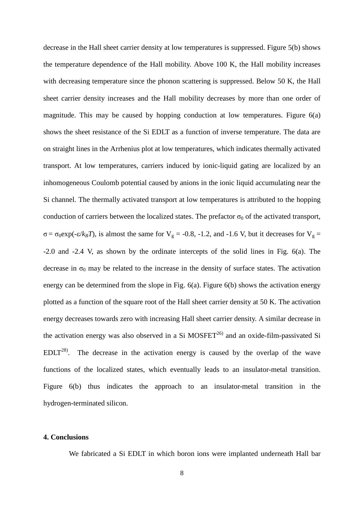decrease in the Hall sheet carrier density at low temperatures is suppressed. Figure 5(b) shows the temperature dependence of the Hall mobility. Above 100 K, the Hall mobility increases with decreasing temperature since the phonon scattering is suppressed. Below 50 K, the Hall sheet carrier density increases and the Hall mobility decreases by more than one order of magnitude. This may be caused by hopping conduction at low temperatures. Figure 6(a) shows the sheet resistance of the Si EDLT as a function of inverse temperature. The data are on straight lines in the Arrhenius plot at low temperatures, which indicates thermally activated transport. At low temperatures, carriers induced by ionic-liquid gating are localized by an inhomogeneous Coulomb potential caused by anions in the ionic liquid accumulating near the Si channel. The thermally activated transport at low temperatures is attributed to the hopping conduction of carriers between the localized states. The prefactor  $\sigma_0$  of the activated transport, σ =  $\sigma_0$ exp(-ε/k<sub>*B*</sub>*T*), is almost the same for V<sub>g</sub> = -0.8, -1.2, and -1.6 V, but it decreases for V<sub>g</sub> = -2.0 and -2.4 V, as shown by the ordinate intercepts of the solid lines in Fig. 6(a). The decrease in  $\sigma_0$  may be related to the increase in the density of surface states. The activation energy can be determined from the slope in Fig. 6(a). Figure 6(b) shows the activation energy plotted as a function of the square root of the Hall sheet carrier density at 50 K. The activation energy decreases towards zero with increasing Hall sheet carrier density. A similar decrease in the activation energy was also observed in a Si MOSFET<sup>26)</sup> and an oxide-film-passivated Si  $EDLT^{28}$ . The decrease in the activation energy is caused by the overlap of the wave functions of the localized states, which eventually leads to an insulator-metal transition. Figure 6(b) thus indicates the approach to an insulator-metal transition in the hydrogen-terminated silicon.

## **4. Conclusions**

We fabricated a Si EDLT in which boron ions were implanted underneath Hall bar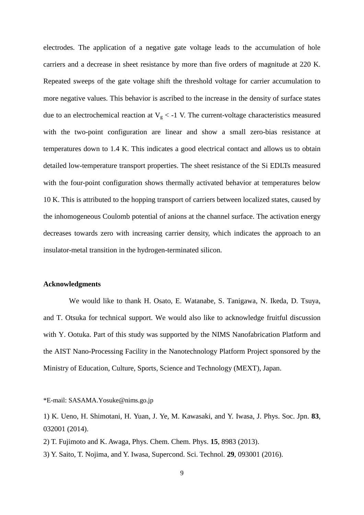electrodes. The application of a negative gate voltage leads to the accumulation of hole carriers and a decrease in sheet resistance by more than five orders of magnitude at 220 K. Repeated sweeps of the gate voltage shift the threshold voltage for carrier accumulation to more negative values. This behavior is ascribed to the increase in the density of surface states due to an electrochemical reaction at  $V<sub>g</sub> < -1$  V. The current-voltage characteristics measured with the two-point configuration are linear and show a small zero-bias resistance at temperatures down to 1.4 K. This indicates a good electrical contact and allows us to obtain detailed low-temperature transport properties. The sheet resistance of the Si EDLTs measured with the four-point configuration shows thermally activated behavior at temperatures below 10 K. This is attributed to the hopping transport of carriers between localized states, caused by the inhomogeneous Coulomb potential of anions at the channel surface. The activation energy decreases towards zero with increasing carrier density, which indicates the approach to an insulator-metal transition in the hydrogen-terminated silicon.

## **Acknowledgments**

We would like to thank H. Osato, E. Watanabe, S. Tanigawa, N. Ikeda, D. Tsuya, and T. Otsuka for technical support. We would also like to acknowledge fruitful discussion with Y. Ootuka. Part of this study was supported by the NIMS Nanofabrication Platform and the AIST Nano-Processing Facility in the Nanotechnology Platform Project sponsored by the Ministry of Education, Culture, Sports, Science and Technology (MEXT), Japan.

\*E-mail: SASAMA.Yosuke@nims.go.jp

- 2) T. Fujimoto and K. Awaga, Phys. Chem. Chem. Phys. **15**, 8983 (2013).
- 3) Y. Saito, T. Nojima, and Y. Iwasa, Supercond. Sci. Technol. **29**, 093001 (2016).

<sup>1)</sup> K. Ueno, H. Shimotani, H. Yuan, J. Ye, M. Kawasaki, and Y. Iwasa, J. Phys. Soc. Jpn. **83**, 032001 (2014).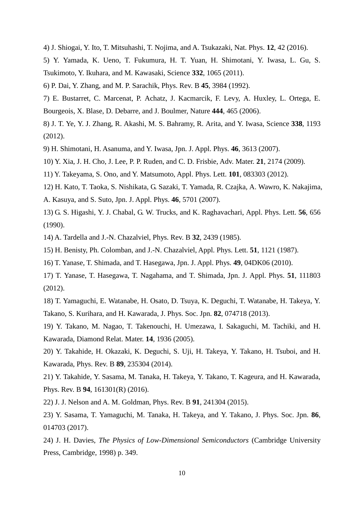- 4) J. Shiogai, Y. Ito, T. Mitsuhashi, T. Nojima, and A. Tsukazaki, Nat. Phys. **12**, 42 (2016).
- 5) Y. Yamada, K. Ueno, T. Fukumura, H. T. Yuan, H. Shimotani, Y. Iwasa, L. Gu, S. Tsukimoto, Y. Ikuhara, and M. Kawasaki, Science **332**, 1065 (2011).
- 6) P. Dai, Y. Zhang, and M. P. Sarachik, Phys. Rev. B **45**, 3984 (1992).
- 7) E. Bustarret, C. Marcenat, P. Achatz, J. Kacmarcik, F. Levy, A. Huxley, L. Ortega, E. Bourgeois, X. Blase, D. Debarre, and J. Boulmer, Nature **444**, 465 (2006).
- 8) J. T. Ye, Y. J. Zhang, R. Akashi, M. S. Bahramy, R. Arita, and Y. Iwasa, Science **338**, 1193 (2012).
- 9) H. Shimotani, H. Asanuma, and Y. Iwasa, Jpn. J. Appl. Phys. **46**, 3613 (2007).
- 10) Y. Xia, J. H. Cho, J. Lee, P. P. Ruden, and C. D. Frisbie, Adv. Mater. **21**, 2174 (2009).
- 11) Y. Takeyama, S. Ono, and Y. Matsumoto, Appl. Phys. Lett. **101**, 083303 (2012).
- 12) H. Kato, T. Taoka, S. Nishikata, G. Sazaki, T. Yamada, R. Czajka, A. Wawro, K. Nakajima, A. Kasuya, and S. Suto, Jpn. J. Appl. Phys. **46**, 5701 (2007).
- 13) G. S. Higashi, Y. J. Chabal, G. W. Trucks, and K. Raghavachari, Appl. Phys. Lett. **56**, 656 (1990).
- 14) A. Tardella and J.-N. Chazalviel, Phys. Rev. B **32**, 2439 (1985).
- 15) H. Benisty, Ph. Colomban, and J.-N. Chazalviel, Appl. Phys. Lett. **51**, 1121 (1987).
- 16) T. Yanase, T. Shimada, and T. Hasegawa, Jpn. J. Appl. Phys. **49**, 04DK06 (2010).
- 17) T. Yanase, T. Hasegawa, T. Nagahama, and T. Shimada, Jpn. J. Appl. Phys. **51**, 111803 (2012).
- 18) T. Yamaguchi, E. Watanabe, H. Osato, D. Tsuya, K. Deguchi, T. Watanabe, H. Takeya, Y. Takano, S. Kurihara, and H. Kawarada, J. Phys. Soc. Jpn. **82**, 074718 (2013).
- 19) Y. Takano, M. Nagao, T. Takenouchi, H. Umezawa, I. Sakaguchi, M. Tachiki, and H. Kawarada, Diamond Relat. Mater. **14**, 1936 (2005).
- 20) Y. Takahide, H. Okazaki, K. Deguchi, S. Uji, H. Takeya, Y. Takano, H. Tsuboi, and H. Kawarada, Phys. Rev. B **89**, 235304 (2014).
- 21) Y. Takahide, Y. Sasama, M. Tanaka, H. Takeya, Y. Takano, T. Kageura, and H. Kawarada, Phys. Rev. B **94**, 161301(R) (2016).
- 22) J. J. Nelson and A. M. Goldman, Phys. Rev. B **91**, 241304 (2015).
- 23) Y. Sasama, T. Yamaguchi, M. Tanaka, H. Takeya, and Y. Takano, J. Phys. Soc. Jpn. **86**, 014703 (2017).
- 24) J. H. Davies, *The Physics of Low-Dimensional Semiconductors* (Cambridge University Press, Cambridge, 1998) p. 349.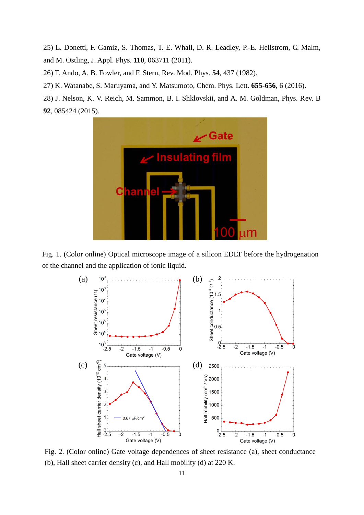25) L. Donetti, F. Gamiz, S. Thomas, T. E. Whall, D. R. Leadley, P.-E. Hellstrom, G. Malm, and M. Ostling, J. Appl. Phys. **110**, 063711 (2011).

26) T. Ando, A. B. Fowler, and F. Stern, Rev. Mod. Phys. **54**, 437 (1982).

27) K. Watanabe, S. Maruyama, and Y. Matsumoto, Chem. Phys. Lett. **655-656**, 6 (2016).

28) J. Nelson, K. V. Reich, M. Sammon, B. I. Shklovskii, and A. M. Goldman, Phys. Rev. B **92**, 085424 (2015).



Fig. 1. (Color online) Optical microscope image of a silicon EDLT before the hydrogenation of the channel and the application of ionic liquid.



Fig. 2. (Color online) Gate voltage dependences of sheet resistance (a), sheet conductance (b), Hall sheet carrier density (c), and Hall mobility (d) at 220 K.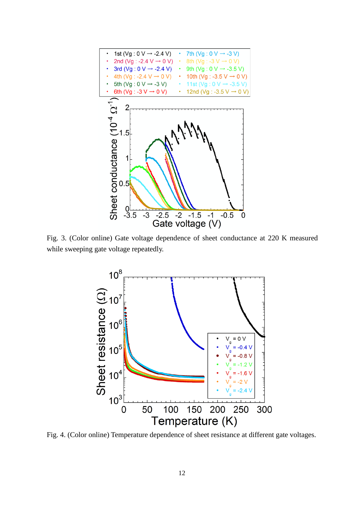

Fig. 3. (Color online) Gate voltage dependence of sheet conductance at 220 K measured while sweeping gate voltage repeatedly.



Fig. 4. (Color online) Temperature dependence of sheet resistance at different gate voltages.